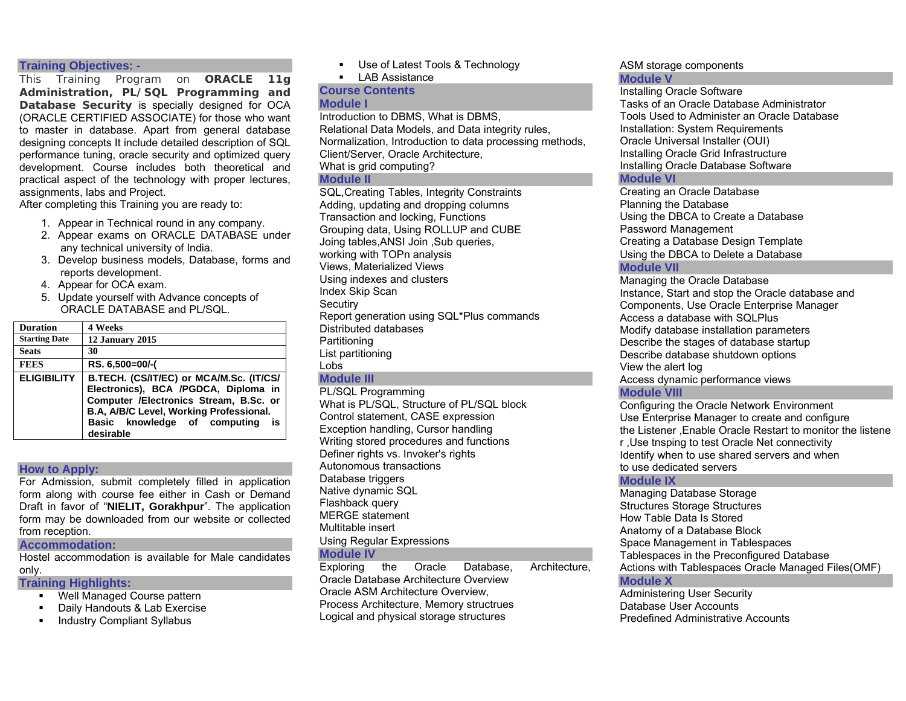### **Training Objectives: -**

This Training Program on **ORACLE 11g Administration, PL/SQL Programming and Database Security** is specially designed for OCA (ORACLE CERTIFIED ASSOCIATE) for those who want to master in database. Apart from general database designing concepts It include detailed description of SQL performance tuning, oracle security and optimized query development. Course includes both theoretical and practical aspect of the technology with proper lectures, assignments, labs and Project.

After completing this Training you are ready to:

- 1. Appear in Technical round in any company.
- 2. Appear exams on ORACLE DATABASE under any technical university of India.
- 3. Develop business models, Database, forms and reports development.
- 4. Appear for OCA exam.
- 5. Update yourself with Advance concepts of ORACLE DATABASE and PL/SQL.

| <b>Duration</b>      | 4 Weeks                                                                                                                                                                                                                 |
|----------------------|-------------------------------------------------------------------------------------------------------------------------------------------------------------------------------------------------------------------------|
| <b>Starting Date</b> | 12 January 2015                                                                                                                                                                                                         |
| <b>Seats</b>         | 30                                                                                                                                                                                                                      |
| <b>FEES</b>          | RS. 6,500=00/-(                                                                                                                                                                                                         |
| <b>ELIGIBILITY</b>   | B.TECH. (CS/IT/EC) or MCA/M.Sc. (IT/CS/<br>Electronics), BCA /PGDCA, Diploma in<br>Computer /Electronics Stream, B.Sc. or<br>B.A. A/B/C Level, Working Professional.<br>Basic knowledge of computing<br>is<br>desirable |

#### **How to Apply:**

For Admission, submit completely filled in application form along with course fee either in Cash or Demand Draft in favor of "**NIELIT, Gorakhpur**". The application form may be downloaded from our website or collected from reception.

#### **Accommodation:**

Hostel accommodation is available for Male candidates only.

#### **Training Highlights:**

- Well Managed Course pattern
- Daily Handouts & Lab Exercise
- **Industry Compliant Syllabus**

Use of Latest Tools & Technology

 $\blacksquare$  LAB Assistance

#### **Course Contents Module I**

Introduction to DBMS, What is DBMS, Relational Data Models, and Data integrity rules, Normalization, Introduction to data processing methods, Client/Server, Oracle Architecture, What is grid computing?

#### **Module II**

SQL,Creating Tables, Integrity Constraints Adding, updating and dropping columns Transaction and locking, Functions Grouping data, Using ROLLUP and CUBE Joing tables,ANSI Join ,Sub queries, working with TOPn analysis Views, Materialized Views Using indexes and clusters Index Skip Scan **Secutiry** Report generation using SQL\*Plus commands Distributed databases Partitioning List partitioning Lobs

## **Module III**

PL/SQL Programming What is PL/SQL, Structure of PL/SQL block Control statement, CASE expression Exception handling, Cursor handling Writing stored procedures and functions Definer rights vs. Invoker's rights Autonomous transactions Database triggers Native dynamic SQL Flashback query MERGE statement Multitable insert Using Regular Expressions **Module IV** 

Exploring the Oracle Database, Architecture, Oracle Database Architecture Overview Oracle ASM Architecture Overview, Process Architecture, Memory structrues Logical and physical storage structures

#### ASM storage components **Module V**

Installing Oracle Software Tasks of an Oracle Database Administrator Tools Used to Administer an Oracle Database Installation: System Requirements Oracle Universal Installer (OUI) Installing Oracle Grid Infrastructure Installing Oracle Database Software

## **Module VI**

Creating an Oracle Database Planning the Database Using the DBCA to Create a Database Password Management Creating a Database Design Template Using the DBCA to Delete a Database

## **Module VII**

Managing the Oracle Database Instance, Start and stop the Oracle database and Components, Use Oracle Enterprise Manager Access a database with SQLPlus Modify database installation parameters Describe the stages of database startup Describe database shutdown options View the alert log

Access dynamic performance views

## **Module VIII**

Configuring the Oracle Network Environment Use Enterprise Manager to create and configure the Listener ,Enable Oracle Restart to monitor the listene r ,Use tnsping to test Oracle Net connectivity Identify when to use shared servers and when to use dedicated servers

## **Module IX**

Managing Database Storage Structures Storage Structures How Table Data Is Stored Anatomy of a Database Block Space Management in Tablespaces Tablespaces in the Preconfigured Database Actions with Tablespaces Oracle Managed Files(OMF) **Module X** 

Administering User Security Database User Accounts Predefined Administrative Accounts